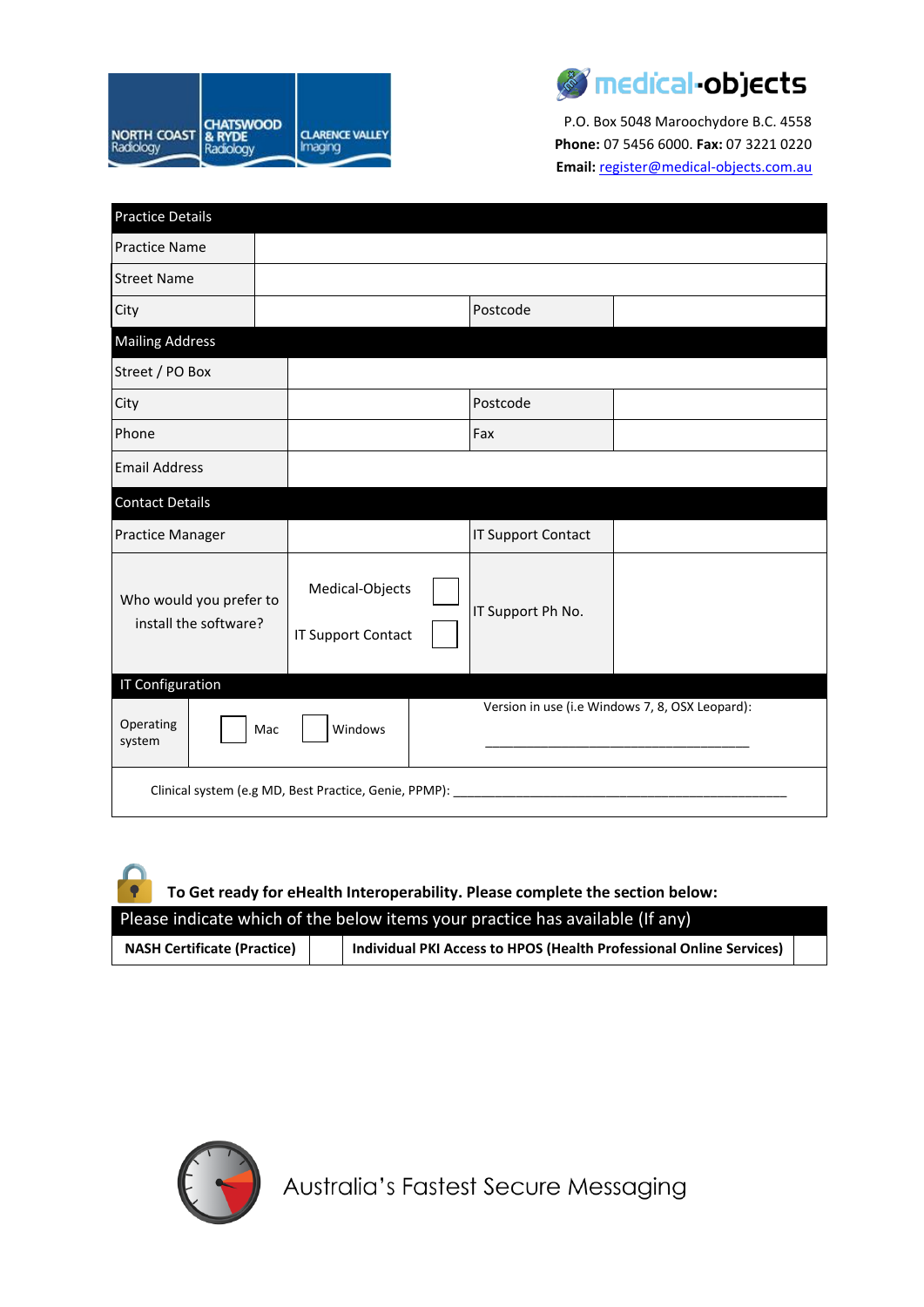



P.O. Box 5048 Maroochydore B.C. 4558 **Phone:** 07 5456 6000. **Fax:** 07 3221 0220 **Email:** [register@medical-objects.com.au](mailto:register@medical-objects.com.au)

| <b>Practice Details</b>                                     |                                              |  |                           |                                                 |  |  |
|-------------------------------------------------------------|----------------------------------------------|--|---------------------------|-------------------------------------------------|--|--|
| <b>Practice Name</b>                                        |                                              |  |                           |                                                 |  |  |
| <b>Street Name</b>                                          |                                              |  |                           |                                                 |  |  |
| City                                                        |                                              |  | Postcode                  |                                                 |  |  |
| <b>Mailing Address</b>                                      |                                              |  |                           |                                                 |  |  |
| Street / PO Box                                             |                                              |  |                           |                                                 |  |  |
| City                                                        |                                              |  | Postcode                  |                                                 |  |  |
| Phone                                                       |                                              |  |                           |                                                 |  |  |
| <b>Email Address</b>                                        |                                              |  |                           |                                                 |  |  |
| <b>Contact Details</b>                                      |                                              |  |                           |                                                 |  |  |
| <b>Practice Manager</b>                                     |                                              |  | <b>IT Support Contact</b> |                                                 |  |  |
| Who would you prefer to<br>install the software?            | Medical-Objects<br><b>IT Support Contact</b> |  | IT Support Ph No.         |                                                 |  |  |
| <b>IT Configuration</b><br>Operating<br>system              | Windows<br>Mac                               |  |                           | Version in use (i.e Windows 7, 8, OSX Leopard): |  |  |
| Clinical system (e.g MD, Best Practice, Genie, PPMP): _____ |                                              |  |                           |                                                 |  |  |

**To Get ready for eHealth Interoperability. Please complete the section below:**

| Please indicate which of the below items your practice has available (If any) |  |                                                                     |  |  |  |  |
|-------------------------------------------------------------------------------|--|---------------------------------------------------------------------|--|--|--|--|
| <b>NASH Certificate (Practice)</b>                                            |  | Individual PKI Access to HPOS (Health Professional Online Services) |  |  |  |  |



 $\bullet$ 

Australia's Fastest Secure Messaging